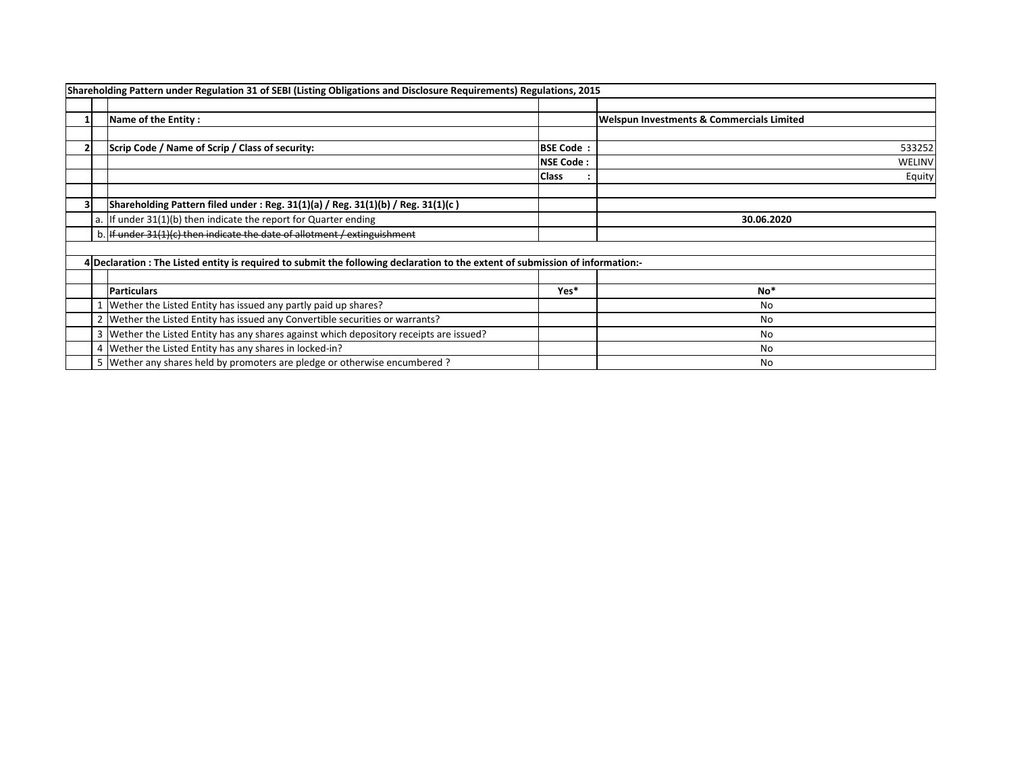|                                                         | Shareholding Pattern under Regulation 31 of SEBI (Listing Obligations and Disclosure Requirements) Regulations, 2015           |                  |                                                      |
|---------------------------------------------------------|--------------------------------------------------------------------------------------------------------------------------------|------------------|------------------------------------------------------|
|                                                         | Name of the Entity:                                                                                                            |                  | <b>Welspun Investments &amp; Commercials Limited</b> |
|                                                         | Scrip Code / Name of Scrip / Class of security:                                                                                | <b>BSE Code:</b> | 533252                                               |
|                                                         |                                                                                                                                | <b>NSE Code:</b> | WELINV                                               |
|                                                         |                                                                                                                                | <b>Class</b>     | Equity                                               |
|                                                         | Shareholding Pattern filed under : Reg. $31(1)(a)$ / Reg. $31(1)(b)$ / Reg. $31(1)(c)$                                         |                  |                                                      |
|                                                         | a. If under $31(1)(b)$ then indicate the report for Quarter ending                                                             |                  | 30.06.2020                                           |
|                                                         | b. If under 31(1)(c) then indicate the date of allotment / extinguishment                                                      |                  |                                                      |
|                                                         |                                                                                                                                |                  |                                                      |
|                                                         | 4 Declaration : The Listed entity is required to submit the following declaration to the extent of submission of information:- |                  |                                                      |
|                                                         | <b>Particulars</b>                                                                                                             | Yes*             | No*                                                  |
|                                                         | Wether the Listed Entity has issued any partly paid up shares?                                                                 |                  | No                                                   |
|                                                         | 2 Wether the Listed Entity has issued any Convertible securities or warrants?                                                  |                  | No                                                   |
|                                                         | 3   Wether the Listed Entity has any shares against which depository receipts are issued?                                      |                  | No                                                   |
| 4 Wether the Listed Entity has any shares in locked-in? |                                                                                                                                |                  | No                                                   |
|                                                         | 5 Wether any shares held by promoters are pledge or otherwise encumbered?                                                      |                  | No                                                   |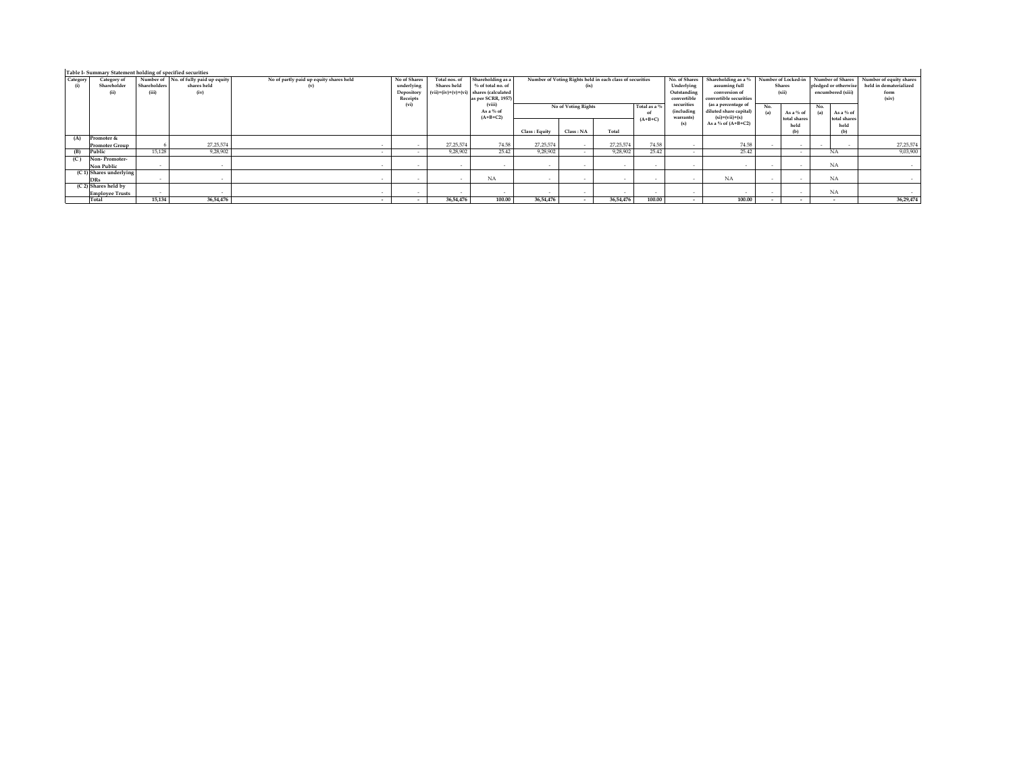| Table I- Summary Statement holding of specified securities |                           |              |                                       |                                         |              |               |                                          |                                     |           |                                                          |                                   |                             |                        |               |                     |                      |                         |
|------------------------------------------------------------|---------------------------|--------------|---------------------------------------|-----------------------------------------|--------------|---------------|------------------------------------------|-------------------------------------|-----------|----------------------------------------------------------|-----------------------------------|-----------------------------|------------------------|---------------|---------------------|----------------------|-------------------------|
| Category                                                   | Category of               |              | Number of No. of fully paid up equity | No of partly paid up equity shares held | No of Shares | Total nos, of | Shareholding as a                        |                                     |           | Number of Voting Rights held in each class of securities |                                   | No. of Shares               | Shareholding as a %    |               | Number of Locked-in | Number of Shares     | Number of equity shares |
| (i)                                                        | Shareholder               | Shareholders | shares held                           | (v)                                     | underlying   | Shares held   | % of total no, of                        |                                     | (ix)      |                                                          |                                   | Underlying<br>assuming full |                        | <b>Shares</b> |                     | pledged or otherwise | held in dematerialized  |
|                                                            | (i)                       | (iii)        | (iv)                                  |                                         | Depository   |               | $(vii)=(iv)+(v)+(vi)$ shares (calculated |                                     |           |                                                          |                                   | Outstanding                 | conversion of          |               | (xii)               | encumbered (xiii)    | form                    |
|                                                            |                           |              |                                       |                                         | Receipts     |               | as per SCRR, 1957)                       |                                     |           |                                                          |                                   | convertible                 | convertible securities |               |                     |                      | (xiv)                   |
|                                                            |                           |              |                                       |                                         | (vi)         |               | (viii)                                   | No of Voting Rights<br>Total as a % |           |                                                          | securities<br>(as a percentage of |                             | No.                    |               | No.                 |                      |                         |
|                                                            |                           |              |                                       |                                         |              |               | As a % of                                |                                     |           |                                                          | of                                | (including                  | diluted share capital) | (a)           | As a % of           | As a % of<br>(a)     |                         |
|                                                            |                           |              |                                       |                                         |              |               | $(A+B+C2)$                               |                                     |           |                                                          | $(A+B+C)$                         | warrants)                   | $(xi)=(vii)+(x)$       |               | total shares        | total shares         |                         |
|                                                            |                           |              |                                       |                                         |              |               |                                          |                                     |           |                                                          |                                   | (x)                         | As a % of $(A+B+C2)$   |               | held                | held                 |                         |
|                                                            |                           |              |                                       |                                         |              |               |                                          | Class : Equity                      | Class: NA | Total                                                    |                                   |                             |                        |               |                     | (b)                  |                         |
| (A)                                                        | Promoter &                |              |                                       |                                         |              |               |                                          |                                     |           |                                                          |                                   |                             |                        |               |                     |                      |                         |
|                                                            | <b>Promoter Group</b>     |              | 27, 25, 574                           |                                         |              | 27,25,574     | 74.58                                    | 27, 25, 574                         |           | 27, 25, 574                                              | 74.58                             |                             | 74.58                  |               |                     |                      | 27, 25, 574             |
| (B)                                                        | Public                    | 15,128       | 9,28,902                              |                                         |              | 9,28,902      | 25.42                                    | 9.28.902                            |           | 9,28,902                                                 | 25.42                             |                             | 25.42                  |               | $\sim$              | <b>NA</b>            | 9,03,90                 |
| (C)                                                        | Non-Promoter-             |              |                                       |                                         |              |               |                                          |                                     |           |                                                          |                                   |                             |                        |               |                     |                      |                         |
|                                                            | Non Public                | $\sim$       |                                       |                                         | $\sim$       |               | . .                                      |                                     | $\sim$    | $\sim$                                                   |                                   |                             |                        |               | $\sim$              | <b>NA</b>            |                         |
|                                                            | $(C 1)$ Shares underlying |              |                                       |                                         |              |               |                                          |                                     |           |                                                          |                                   |                             |                        |               |                     |                      |                         |
|                                                            | <b>DRs</b>                | $\sim$       |                                       |                                         |              |               | <b>NA</b>                                |                                     |           |                                                          |                                   |                             | <b>NA</b>              |               |                     | <b>NA</b>            |                         |
|                                                            | (C 2) Shares held by      |              |                                       |                                         |              |               |                                          |                                     |           |                                                          |                                   |                             |                        |               |                     |                      |                         |
|                                                            | <b>Employee Trusts</b>    | $\sim$       |                                       |                                         | $\sim$       |               | . .                                      |                                     |           |                                                          | $\sim$                            |                             |                        | . .           | $\sim$              | <b>NA</b>            |                         |
|                                                            | Total                     | 15,134       | 36,54,476                             |                                         | $\sim$       | 36,54,476     | 100.00                                   | 36,54,476                           |           | 36,54,476                                                | 100.00                            | $\sim$                      | 100.00                 |               | $\sim$              | $\sim$               | 36,29,474               |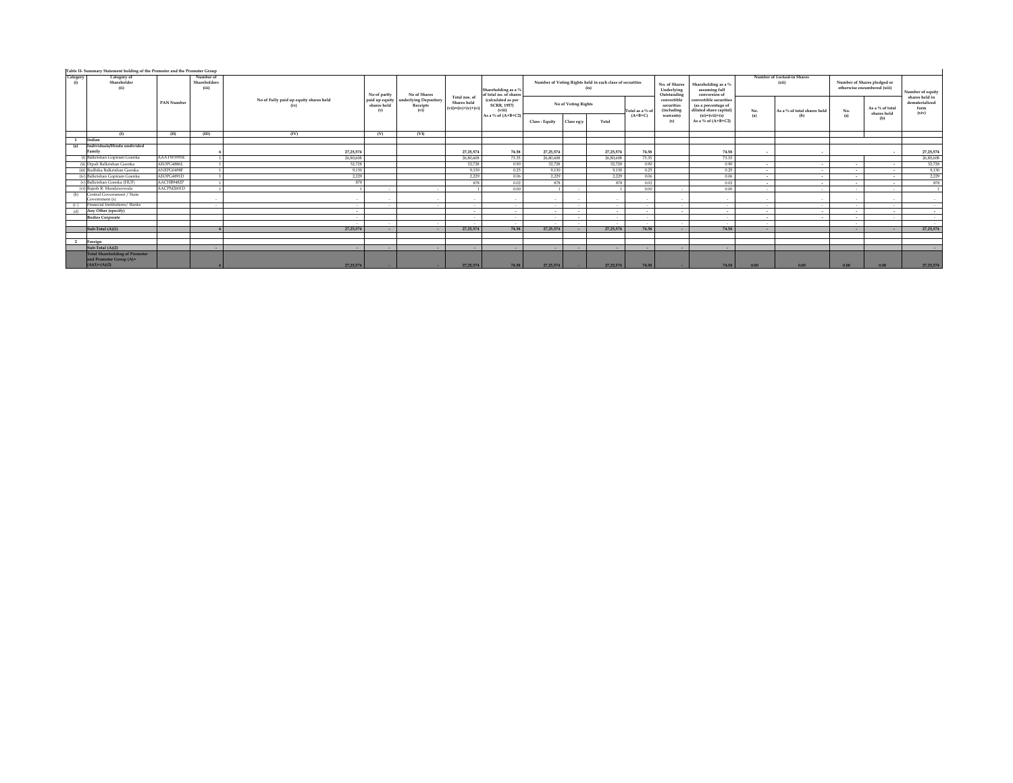| Category<br>(i) | Category of<br><b>Shareholder</b><br>(ii)                        |            | Number of<br>Shareholders<br>(iii) |                                        | No of partly                         | No of Shares                             | Total nos, of                        | Shareholding as a %<br>of total no, of share       |               | (ix)                | Number of Voting Rights held in each class of securities |                 | No. of Shares<br>Underlying<br>Outstanding | Shareholding as a %<br>assuming full<br>conversion of                  |        | Number of Locked-in Shares<br>(xii) |      | Number of Shares pledged or<br>otherwise encumbered (xiii) | Number of equity                                  |
|-----------------|------------------------------------------------------------------|------------|------------------------------------|----------------------------------------|--------------------------------------|------------------------------------------|--------------------------------------|----------------------------------------------------|---------------|---------------------|----------------------------------------------------------|-----------------|--------------------------------------------|------------------------------------------------------------------------|--------|-------------------------------------|------|------------------------------------------------------------|---------------------------------------------------|
|                 |                                                                  | PAN Number |                                    | No of Fully paid up equity shares held | paid up equity<br>shares held<br>(v) | nderlying Depository<br>Receipts<br>(vi) | Shares held<br>$(vii)=(iv)+(v)+(vi)$ | (calculated as per<br><b>SCRR, 1957)</b><br>(viii) |               | No of Voting Rights |                                                          | Total as a % of | convertible<br>securities<br>(including    | convertible securities<br>(as a percentage of<br>iluted share capital) | No.    | As a % of total shares held         | No.  | As a % of total                                            | shares held in<br>dematerialized<br>form<br>(xiv) |
|                 |                                                                  |            |                                    |                                        |                                      |                                          |                                      | As a % of (A+B+C2)                                 | Class: Equity | Class egy           | Total                                                    | $(A+B+C)$       | warrants)<br>(x)                           | $(xi)=(vii)+(x)$<br>As a % of (A+B+C2)                                 | (a)    | (b)                                 | (a)  | shares held<br>(b)                                         |                                                   |
|                 | $\Omega$                                                         | m          | <b>III</b> )                       | (IV)                                   | (V)                                  | (VI)                                     |                                      |                                                    |               |                     |                                                          |                 |                                            |                                                                        |        |                                     |      |                                                            |                                                   |
|                 | Indian                                                           |            |                                    |                                        |                                      |                                          |                                      |                                                    |               |                     |                                                          |                 |                                            |                                                                        |        |                                     |      |                                                            |                                                   |
| (a)             | Individuals/Hindu undivided<br>Family                            |            |                                    | 27.25.574                              |                                      |                                          | 27.25.574                            | 74.58                                              | 27.25.574     |                     | 27.25.574                                                | 74.58           |                                            | 74.58                                                                  |        | $\sim$                              |      |                                                            | 27.25.574                                         |
|                 | (i) Balkrishan Gopiram Goenka                                    | AAATW3935E |                                    | 26,80,608                              |                                      |                                          | 26,80,608                            | 73.35                                              | 26,80,608     |                     | 26,80,608                                                | 73.35           |                                            | 73.35                                                                  |        |                                     |      |                                                            | 26,80,608                                         |
|                 | (ii) Dipali Balkrishan Goenka                                    | AEOPG4886L |                                    | 32.728                                 |                                      |                                          | 32.728                               | 0.90                                               | 32.728        |                     | 32.728                                                   | 0.90            |                                            | 0.90                                                                   | . .    | . .                                 |      |                                                            | 32.728                                            |
|                 | (iii) Radhika Balkrishan Goenka                                  | ANEPG0498F |                                    | 9.130                                  |                                      |                                          | 9.130                                | 0.25                                               | 9.130         |                     | 9.130                                                    | 0.25            |                                            | 0.25                                                                   | . .    | $\sim$                              |      | $\sim$                                                     | 9.130                                             |
|                 | (iv) Balkrishan Gopiram Goenka                                   | AEOPG4891D |                                    | 2,229                                  |                                      |                                          | 2,229                                | 0.06                                               | 2.229         |                     | 2,229                                                    | 0.06            |                                            | 0.06                                                                   | . .    | $\sim$                              |      |                                                            | 2.229                                             |
|                 | (v) Balkrishan Goenka (HUF)                                      | AACHB9482P |                                    | 878                                    |                                      |                                          | 878                                  | 0.02                                               | 878           |                     | 878                                                      | 0.02            |                                            | 0.02                                                                   |        | $\sim$                              |      |                                                            | 878                                               |
|                 | (vi) Rajesh R. Mandawewala                                       | AACPM2601D |                                    |                                        | $\sim$                               | <b>Service</b>                           |                                      | 0.00                                               |               | $\sim$              |                                                          | 0.00            |                                            | 0.00                                                                   | $\sim$ | $\sim$                              | - 10 | $\sim$                                                     |                                                   |
| (b)             | Central Government / State<br>Sovernment (s)                     |            |                                    |                                        |                                      |                                          |                                      | . .                                                |               |                     |                                                          | - 3             |                                            |                                                                        |        | $\sim$                              |      |                                                            |                                                   |
| (c)             | Financial Institutions/ Banks                                    |            | . .                                | . .                                    | $\sim$                               |                                          | . .                                  | $\sim$                                             | $\sim$        |                     | $\sim$                                                   | . .             |                                            | $\sim$                                                                 |        | $\sim$                              |      | $\sim$                                                     |                                                   |
| (d)             | Any Other (specify)                                              |            |                                    |                                        |                                      |                                          | . .                                  | $\sim$                                             | $\sim$        |                     | . .                                                      | $\sim$          |                                            | . .                                                                    |        | $\overline{\phantom{a}}$            |      | $\sim$                                                     | $\sim$                                            |
|                 | <b>Bodies Corporate</b>                                          |            |                                    | $\sim$                                 |                                      |                                          |                                      | $\sim$                                             | $\sim$        |                     | $\sim$                                                   | $\sim$          |                                            | $\sim$                                                                 | $\sim$ | $\sim$                              |      | $\sim$                                                     | $\sim$                                            |
|                 | Sub-Total (A)(1)                                                 |            |                                    | 27.25.574                              | -                                    |                                          | 27.25.574                            | $\sim$<br>74.58                                    | 27.25.574     |                     | 27, 25, 574                                              | $\sim$          |                                            |                                                                        |        |                                     |      |                                                            | $\sim$<br>27.25.574                               |
|                 |                                                                  |            |                                    |                                        | $\sim$                               | $\sim$                                   |                                      |                                                    |               |                     |                                                          | 74.58           |                                            | 74.58                                                                  |        |                                     |      | $\sim$                                                     |                                                   |
|                 | 2 Foreign                                                        |            |                                    |                                        |                                      |                                          |                                      |                                                    |               |                     |                                                          |                 |                                            |                                                                        |        |                                     |      |                                                            |                                                   |
|                 | Sub-Total (A)(2)                                                 |            | $\sim$                             | $\sim$                                 | $\sim$                               | $\sim$                                   |                                      | $\sim$                                             | $\sim$        |                     | $\sim$                                                   | $\sim$          |                                            | . .                                                                    |        |                                     |      |                                                            |                                                   |
|                 | <b>Total Shareholding of Promoter</b><br>and Promoter Group (A)= |            |                                    |                                        |                                      |                                          |                                      |                                                    |               |                     |                                                          |                 |                                            |                                                                        |        |                                     |      |                                                            |                                                   |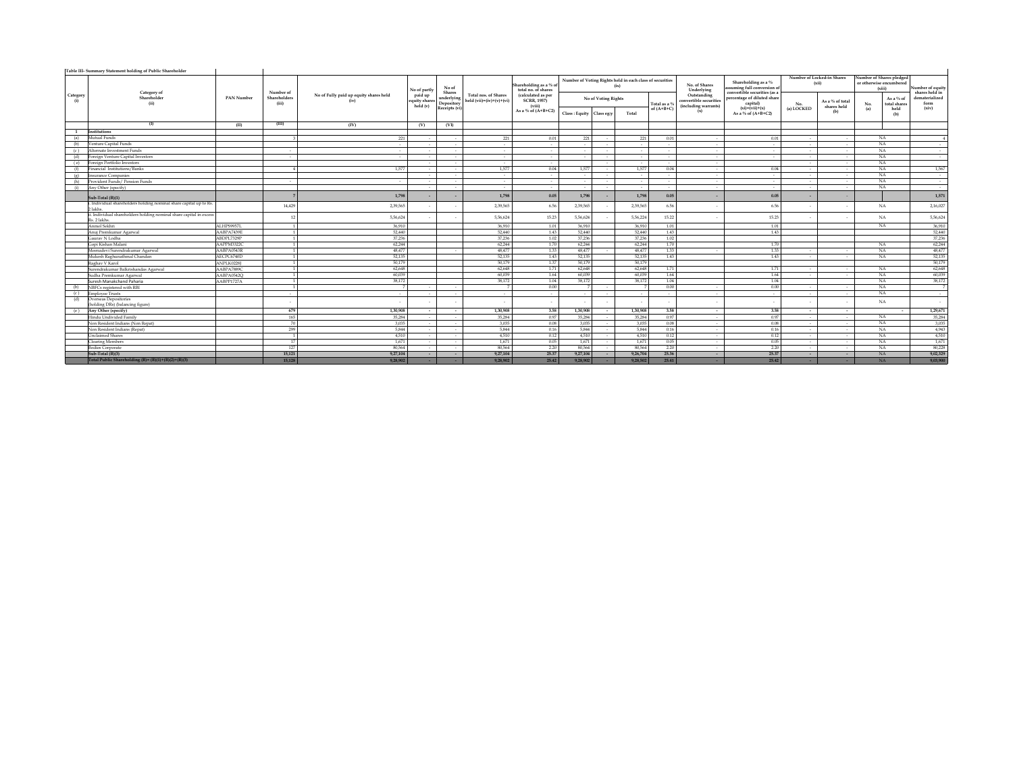|                 | Table III- Summary Statement holding of Public Shareholder                          |               |                       |                                                |                                      |                                                     |                                                           |                                                    |                |                     |                                                                  |              |                                                               |                                                                                       |                                     |                                |     |                                                               |                                    |
|-----------------|-------------------------------------------------------------------------------------|---------------|-----------------------|------------------------------------------------|--------------------------------------|-----------------------------------------------------|-----------------------------------------------------------|----------------------------------------------------|----------------|---------------------|------------------------------------------------------------------|--------------|---------------------------------------------------------------|---------------------------------------------------------------------------------------|-------------------------------------|--------------------------------|-----|---------------------------------------------------------------|------------------------------------|
|                 |                                                                                     |               | Number of             |                                                | No of partly                         | No of                                               |                                                           | Shareholding as a % o<br>total no. of shares       |                |                     | Number of Voting Rights held in each class of securities<br>(ix) |              | No. of Shares<br>Underlying                                   | Shareholding as a $\%$<br>assuming full conversion of<br>convertible securities (as a | Number of Locked-in Shares<br>(xii) |                                |     | Number of Shares pledged<br>or otherwise encumbered<br>(xiii) | Number of equity<br>shares held in |
| Category<br>(i) | Category of<br>Shareholder<br>(ii)                                                  | PAN Number    | Shareholders<br>(iii) | No of Fully paid up equity shares held<br>(iv) | paid up<br>equity shares<br>held (v) | Shares<br>underlying<br>Depository<br>Receipts (vi) | <b>Total nos, of Shares</b><br>held $(vii)=(iv)+(v)+(vi)$ | (calculated as per<br><b>SCRR, 1957)</b><br>(viii) |                | No of Voting Rights |                                                                  | Total as a 9 | Outstanding<br>convertible securities<br>(including warrants) | percentage of diluted share<br>capital)<br>$(xi)=(vii)+(x)$                           | No.                                 | As a % of total<br>shares held | No. | As a % of<br>total shares                                     | dematerialized<br>form             |
|                 |                                                                                     |               |                       |                                                |                                      |                                                     |                                                           | As a % of $(A+B+C2)$                               | Class : Equity | Class eg:y          | Total                                                            | of $(A+B+C)$ | (x)                                                           | As a % of (A+B+C2)                                                                    | (a) LOCKED                          | (b)                            | (a) | held<br>(b)                                                   | (xiv)                              |
|                 | (1)                                                                                 | (II)          | (III)                 | (IV)                                           | (V)                                  | (VI)                                                |                                                           |                                                    |                |                     |                                                                  |              |                                                               |                                                                                       |                                     |                                |     |                                                               |                                    |
| $\mathbf{1}$    | Institutions                                                                        |               |                       |                                                |                                      |                                                     |                                                           |                                                    |                |                     |                                                                  |              |                                                               |                                                                                       |                                     |                                |     |                                                               |                                    |
| (a)             | Mutual Funds                                                                        |               |                       | 221                                            |                                      | $\sim$                                              | 221                                                       | 0.01                                               | 221            |                     | 221                                                              | 0.01         | $\sim$                                                        | 0.01                                                                                  | $\sim$                              | $\sim$                         |     | NA                                                            |                                    |
| (b)             | Venture Capital Funds                                                               |               |                       | $\sim$                                         |                                      | $\sim$                                              | $\sim$                                                    | $\sim$                                             | $\sim$         |                     |                                                                  |              | $\sim$                                                        | $\sim$                                                                                | $\sim$                              | $\sim$                         |     | NA                                                            | $\sim$                             |
| (c)             | Alternate Investment Funds                                                          |               | $\sim$                | $\sim$                                         |                                      | $\sim$                                              | $\sim$                                                    | $\sim$                                             | $\sim$         |                     | $\sim$                                                           | $\sim$       | $\sim$                                                        | $\sim$                                                                                | $\sim$                              | $\sim$                         |     | NA                                                            | $\sim$                             |
| (d)             | Foreign Venture Capital Investors                                                   |               |                       | $\sim$                                         |                                      |                                                     | $\sim$                                                    | $\sim$                                             | $\sim$         |                     | $\sim$                                                           |              | $\sim$                                                        | $\sim$                                                                                |                                     | $\sim$                         |     | NA                                                            | $\sim$                             |
|                 | (e) Foreign Portfolio Investors                                                     |               |                       |                                                |                                      | $\sim$                                              | $\sim$                                                    | $\sim$                                             |                |                     |                                                                  |              | $\sim$                                                        |                                                                                       |                                     | $\sim$                         |     | NA                                                            |                                    |
| (f)             | Financial Institutions/Banks                                                        |               |                       | 1.577                                          |                                      | $\sim$                                              | 1.577                                                     | 0.04                                               | 1.577          |                     | 1,577                                                            | 0.04         | $\sim$                                                        | 0.04                                                                                  |                                     | $\sim$                         |     | NA.                                                           | 1,567                              |
|                 | (e) Insurance Companies                                                             |               |                       |                                                |                                      | $\sim$                                              | $\sim$                                                    | $\sim$                                             | $\sim$         |                     |                                                                  | $\sim$       | $\sim$                                                        | $\sim$                                                                                | $\sim$                              | $\sim$                         |     | NA                                                            | $\sim$                             |
| (h)             | Provident Funds / Pension Funds                                                     |               |                       | $\sim$                                         |                                      | $\sim$                                              | $\sim$                                                    | $\sim$                                             | $\sim$         |                     | $\sim$                                                           |              | $\sim$                                                        | $\sim$                                                                                |                                     | $\sim$                         |     | NA                                                            | $\sim$                             |
| (i)             | Any Other (specify)                                                                 |               |                       |                                                |                                      |                                                     | $\sim$                                                    | $\sim$                                             | $\sim$         |                     | $\sim$                                                           |              |                                                               | $\sim$                                                                                |                                     | $\sim$                         |     | NA                                                            | $\sim$                             |
|                 | Sub-Total (B)(1)                                                                    |               |                       | 1,798                                          |                                      |                                                     | 1,798                                                     | 0.05                                               | 1,798          |                     | 1,798                                                            | 0.05         |                                                               | 0.05                                                                                  |                                     |                                |     |                                                               | 1,571                              |
|                 | i. Individual shareholders holding nominal share capital up to Rs.<br>2 lakhs.      |               | 14,429                | 2,39,565                                       |                                      |                                                     | 2.39.565                                                  | 6.56                                               | 2,39,565       |                     | 2,39,565                                                         | 6.56         |                                                               | 6.56                                                                                  |                                     |                                |     | NA                                                            | 2,16,027                           |
|                 | ii. Individual shareholders holding nominal share capital in excess<br>Rs. 2 lakhs. |               |                       | 5,56,624                                       |                                      |                                                     | 5,56,624                                                  | 15.23                                              | 5,56,624       |                     | 5,56,224                                                         | 15.22        |                                                               | 15.23                                                                                 |                                     |                                |     | NA                                                            | 5,56,624                           |
|                 | Anmol Sekhri                                                                        | ALHPS9957L    | $\mathbf{u}$          | 36,910                                         |                                      |                                                     | 36,910                                                    | 1.01                                               | 36,910         |                     | 36,910                                                           | 1.01         |                                                               | 1.01                                                                                  |                                     |                                |     | NA                                                            | 36,910                             |
|                 | Anui Premkumar Agarwal                                                              | A ABP A 7439F | $\mathbf{1}$          | 52,440                                         |                                      |                                                     | 52,440                                                    | 1.43                                               | 52,440         |                     | 52,440                                                           | 1.43         |                                                               | 1.43                                                                                  |                                     |                                |     |                                                               | 52,440                             |
|                 | Gauray N Lodha                                                                      | ABDPL7329P    |                       | 37.236                                         |                                      |                                                     | 37,236                                                    | 1.02                                               | 37,236         |                     | 37,236                                                           | 1.02         |                                                               |                                                                                       |                                     |                                |     |                                                               | 37,236                             |
|                 | Goni Kishan Malani                                                                  | AAPPM3322C    |                       | 62,244                                         |                                      |                                                     | 62.244                                                    | 1.70                                               | 62.244         |                     | 62,244                                                           | 1.70         |                                                               | 1.70                                                                                  |                                     |                                |     | NA                                                            | 62,244                             |
|                 | Meenadevi Surendrakumar Agarwal                                                     | AABPA0543R    | $\mathbf{1}$          | 48.477                                         |                                      |                                                     | 48.477                                                    | 1.33                                               | 48,477         |                     | 48,477                                                           | 1.33         |                                                               | 1.33                                                                                  |                                     | $\sim$                         |     | NA                                                            | 48,477                             |
|                 | Mukesh Raghunathmal Chandan                                                         | AECPC6740D    | $\mathbf{1}$          | 52.135                                         |                                      |                                                     | 52,135                                                    | 1.43                                               | 52,135         |                     | 52,135                                                           | 1.43         |                                                               | 1.43                                                                                  |                                     | $\sim$                         |     | <b>NA</b>                                                     | 52,135                             |
|                 | Raghay V Karol                                                                      | ANPLK02281    | $\mathbf{1}$          | 50.179                                         |                                      |                                                     | 50.179                                                    | 1.37                                               | 50,179         |                     | 50.179                                                           |              |                                                               |                                                                                       |                                     |                                |     |                                                               | 50,179                             |
|                 | Surendrakumar Balkrishandas Agarwal                                                 | AABPA7889C    | $\mathbf{1}$          | 62,648                                         |                                      |                                                     | 62,648                                                    | 1.71                                               | 62,648         |                     | 62,648                                                           | 1.71         |                                                               | 1.71                                                                                  |                                     | $\sim$                         |     | NA                                                            | 62,648                             |
|                 | Sudha Premkumar Agarwal                                                             | AABPA0542O    |                       | 60,039                                         |                                      |                                                     | 60,039                                                    | 1.64                                               | 60,039         |                     | 60,039                                                           | 1.64         |                                                               | 1.64                                                                                  |                                     | $\overline{\phantom{a}}$       |     | NA                                                            | 60,039                             |
|                 | Suresh Manakchand Paharia                                                           | AABPP1727A    |                       | 38,172                                         |                                      |                                                     | 38.172                                                    | 1.04                                               | 38,172         |                     | 38.17                                                            | 1.04         |                                                               | 1.04                                                                                  |                                     |                                |     | NA.                                                           | 38,172                             |
| (b)             | NBFCs registered with RBI                                                           |               |                       |                                                | $\sim$                               | $\sim$                                              |                                                           | 0.00                                               |                |                     |                                                                  | 0.00         | $\sim$                                                        | 0.00                                                                                  | $\sim$                              | $\sim$                         |     | NA.                                                           |                                    |
|                 | (c) Employee Trusts                                                                 |               | $\sim$                | $\sim$                                         | $\sim$                               | $\sim$                                              | $\sim$                                                    | $\sim$                                             | $\sim$         | $\sim$              |                                                                  | $\sim$       | $\sim$                                                        | $\sim$                                                                                | $\sim$                              | $\sim$                         |     | <b>NA</b>                                                     | $\sim$                             |
| (d)             | Overseas Depositories<br>(holding DRs) (balancing figure)                           |               |                       | $\sim$                                         |                                      |                                                     |                                                           |                                                    |                |                     |                                                                  |              |                                                               | $\overline{\phantom{a}}$                                                              |                                     |                                |     | NA                                                            | $\sim$                             |
|                 | (e) Any Other (specify)                                                             |               | 679                   | 1.30.908                                       | $\sim$                               | $\sim$                                              | 1.30.908                                                  | 3.58                                               | 1,30,908       |                     | 1,30,908                                                         | 3.58         | $\sim$                                                        | 3.58                                                                                  | $\sim$                              | $\sim$                         |     |                                                               | 1,29,671                           |
|                 | Hindu Undivided Family                                                              |               | 165                   | 35.284                                         |                                      | $\sim$                                              | 35.284                                                    | 0.97                                               | 35.284         |                     | 35.284                                                           | 0.97         | $\sim$                                                        | 0.97                                                                                  | $\sim$                              | $\sim$                         |     | NA                                                            | 35,284                             |
|                 | Non Resident Indians (Non Repat)                                                    |               | 70                    | 3.035                                          | $\sim$                               | $\sim$                                              | 3.035                                                     | 0.08                                               | 3.035          |                     | 3.035                                                            | 0.08         | $\sim$                                                        | 0.08                                                                                  | $\sim$                              | $\sim$                         |     | NA                                                            | 3,035                              |
|                 | Non Resident Indians (Repat)                                                        |               | 299                   | 5.844                                          |                                      |                                                     | 5.844                                                     | 0.16                                               | 5.844          |                     | 5,844                                                            | 0.16         | $\overline{\phantom{a}}$                                      | 0.16                                                                                  |                                     | $\sim$                         |     | NA                                                            | 4,943                              |
|                 | <b>Unclaimed Shares</b>                                                             |               | $\mathbf{1}$          | 4.510                                          |                                      | $\sim$                                              | 4.510                                                     | 0.12                                               | 4,510          |                     | 4.510                                                            | 0.12         | $\sim$                                                        | 0.12                                                                                  | $\sim$                              | $\sim$                         |     | NA                                                            | 4,510                              |
|                 | <b>Clearing Members</b>                                                             |               | 17                    | 1,671                                          |                                      |                                                     | 1,671                                                     | 0.05                                               | 1,671          |                     | 1,671                                                            | 0.05         | $\overline{\phantom{a}}$                                      | 0.05                                                                                  |                                     | $\sim$                         |     | NA                                                            | 1,671                              |
|                 | <b>Bodies Corporate</b>                                                             |               | 127                   | 80.564                                         |                                      | $\sim$                                              | 80,564                                                    | 2.20                                               | 80,564         |                     | 80,564                                                           | 2.20         | $\sim$                                                        | 2.20                                                                                  |                                     | $\sim$                         |     | <b>NA</b>                                                     | 80,228                             |
|                 | Sub-Total (B)(3)                                                                    |               | 15,121                | 9,27,104                                       | $\sim$                               | $\overline{\phantom{a}}$                            | 9.27.104                                                  | 25.37                                              | 9,27,104       |                     | 9,26,704                                                         | 25.36        | $\sim$                                                        | 25.37                                                                                 | $\sim$                              | $\sim$                         |     | <b>NA</b>                                                     | 9,02,329                           |
|                 | Total Public Shareholding (B)= (B)(1)+(B)(2)+(B)(3)                                 |               | 15.128                | 9.28.902                                       |                                      |                                                     | 9.28.902                                                  | 25.42                                              | 9.28.902       |                     | 9.28.502                                                         | 25.41        |                                                               | 25.42                                                                                 |                                     |                                |     | <b>NA</b>                                                     | 9.03.900                           |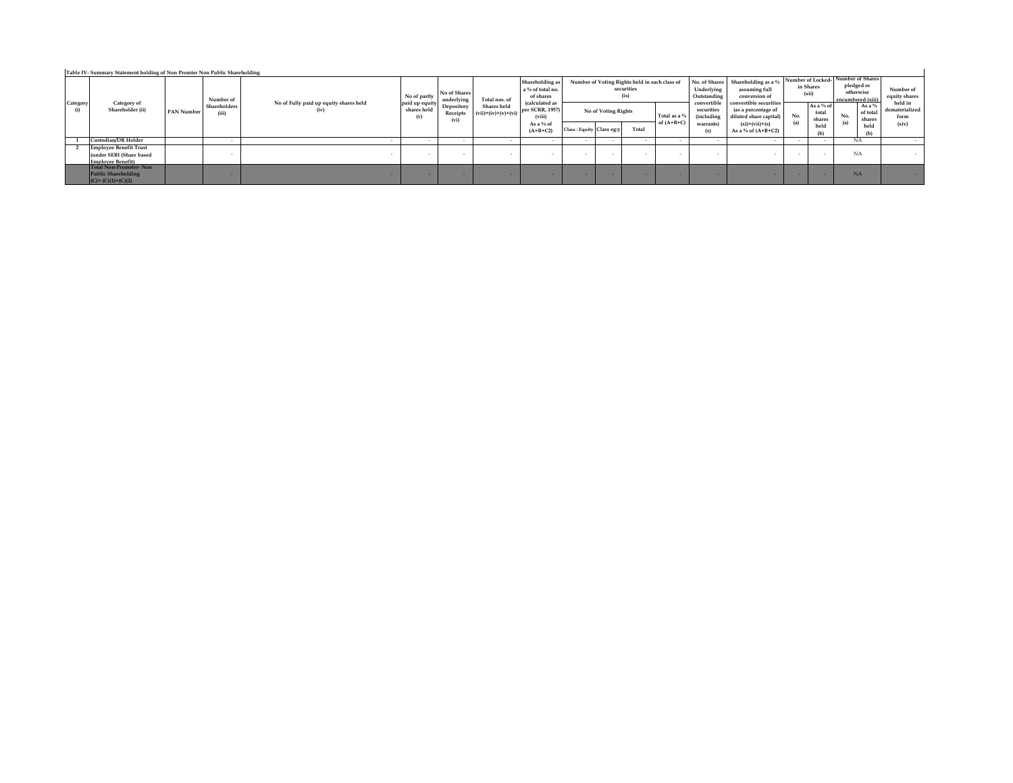|                 | Category of<br>Shareholder (ii)                                                       | Number of<br>Shareholders<br>PAN Number<br>(iii) | No of Fully paid up equity shares held | No of partly<br>paid up equity | No of Shares<br>underlying     | Total nos. of                        | Shareholding as<br>a % of total no.<br>of shares     | Number of Voting Rights held in each class of<br>securities<br>(ix)<br>(calculated as<br>No of Voting Rights | No. of Shares<br>Underlying<br>Outstanding<br>convertible | Shareholding as a %<br>assuming full<br>conversion of<br>convertible securities |                                              | Number of Locked-<br>in Shares<br>(xii)                                                   | Number of Shares<br>pledged or<br>otherwise<br>encumbered (xiii) | Number of<br>equity shares<br>held in       |                                                      |                                 |
|-----------------|---------------------------------------------------------------------------------------|--------------------------------------------------|----------------------------------------|--------------------------------|--------------------------------|--------------------------------------|------------------------------------------------------|--------------------------------------------------------------------------------------------------------------|-----------------------------------------------------------|---------------------------------------------------------------------------------|----------------------------------------------|-------------------------------------------------------------------------------------------|------------------------------------------------------------------|---------------------------------------------|------------------------------------------------------|---------------------------------|
| Category<br>(i) |                                                                                       |                                                  | (iv                                    | shares held<br>(v)             | Depository<br>Receipts<br>(vi) | Shares held<br>$(vii)=(iv)+(v)+(vi)$ | per SCRR, 1957)<br>(viii)<br>As a % of<br>$(A+B+C2)$ | Class: Equity Class eg:v                                                                                     | Total                                                     | Total as a 9<br>of $(A+B+C)$                                                    | securities<br>(including<br>warrants)<br>(x) | (as a percentage of<br>diluted share capital)<br>$(xi)=(vii)+(x)$<br>As a % of $(A+B+C2)$ | No.<br>(a)                                                       | As a % of<br>total<br>shares<br>held<br>(b) | As a $%$<br>of total<br>No.<br>shares<br>(a)<br>held | dematerialized<br>form<br>(xiv) |
|                 | Custodian/DR Holder                                                                   | $\sim$                                           |                                        |                                |                                |                                      |                                                      |                                                                                                              |                                                           |                                                                                 |                                              |                                                                                           |                                                                  |                                             | NA                                                   |                                 |
|                 | <b>Employee Benefit Trust</b><br>(under SEBI (Share based<br><b>Employee Benefit)</b> | . .                                              |                                        | . .                            |                                | $\sim$                               |                                                      |                                                                                                              |                                                           |                                                                                 |                                              |                                                                                           | $\sim$                                                           | $\sim$                                      | NA                                                   |                                 |
|                 | Total Non-Promoter-Non<br><b>Public Shareholding</b><br>$(C) = (C)(1)+(C)(2)$         |                                                  |                                        |                                |                                | -                                    |                                                      |                                                                                                              |                                                           |                                                                                 |                                              |                                                                                           |                                                                  | .                                           | <b>NA</b>                                            |                                 |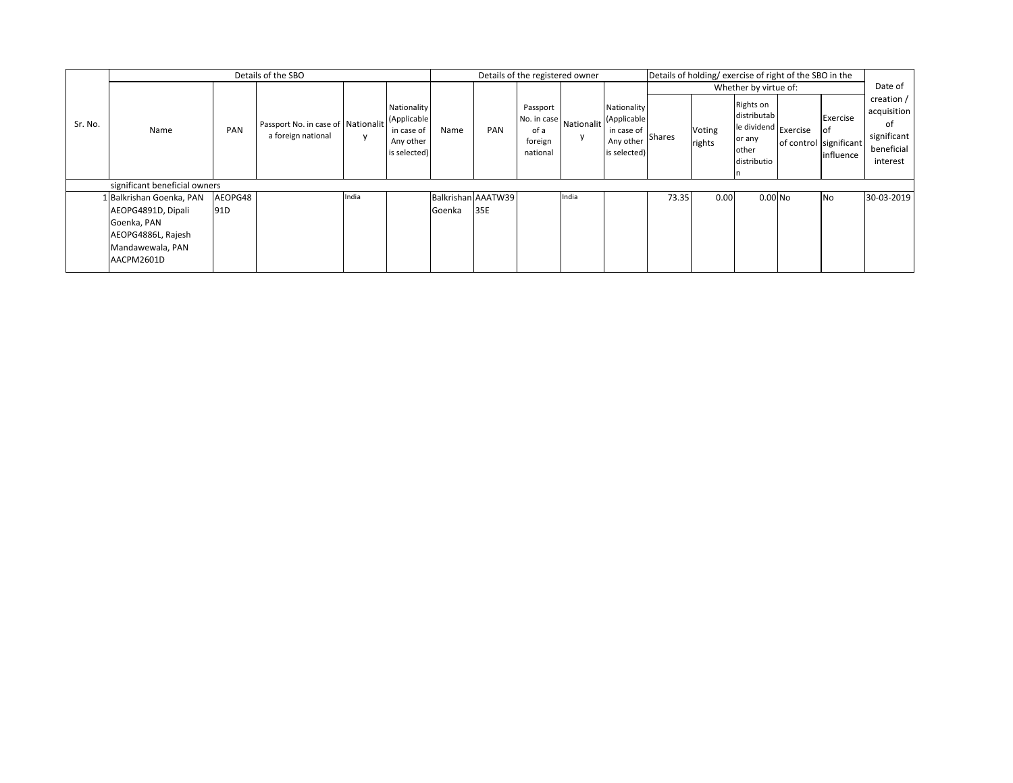|         |                               |         | Details of the SBO                                       |              |                                                                       |        |                    | Details of the registered owner                                                |       |                                                                       |        | Details of holding/exercise of right of the SBO in the |                                                                                    |                                                       |                                                                          |
|---------|-------------------------------|---------|----------------------------------------------------------|--------------|-----------------------------------------------------------------------|--------|--------------------|--------------------------------------------------------------------------------|-------|-----------------------------------------------------------------------|--------|--------------------------------------------------------|------------------------------------------------------------------------------------|-------------------------------------------------------|--------------------------------------------------------------------------|
|         |                               |         |                                                          |              |                                                                       |        |                    |                                                                                |       |                                                                       |        |                                                        | Whether by virtue of:                                                              |                                                       | Date of                                                                  |
| Sr. No. | Name                          | PAN     | Passport No. in case of Nationalit<br>a foreign national | $\mathsf{v}$ | Nationality<br>(Applicable<br>in case of<br>Any other<br>is selected) | Name   | PAN                | Passport<br>No. in case Nationalit <sup>1</sup><br>of a<br>foreign<br>national |       | Nationality<br>(Applicable<br>in case of<br>Any other<br>is selected) | Shares | Voting<br>rights                                       | Rights on<br>distributab<br>le dividend Exercise<br>or any<br>other<br>distributio | Exercise<br>οf<br>of control significant<br>influence | creation /<br>acquisition<br>of<br>significant<br>beneficial<br>interest |
|         | significant beneficial owners |         |                                                          |              |                                                                       |        |                    |                                                                                |       |                                                                       |        |                                                        |                                                                                    |                                                       |                                                                          |
|         | 1 Balkrishan Goenka, PAN      | AEOPG48 |                                                          | India        |                                                                       |        | Balkrishan AAATW39 |                                                                                | India |                                                                       | 73.35  | 0.00                                                   | $0.00$ No                                                                          | <b>No</b>                                             | 30-03-2019                                                               |
|         | AEOPG4891D, Dipali            | 91D     |                                                          |              |                                                                       | Goenka | 35E                |                                                                                |       |                                                                       |        |                                                        |                                                                                    |                                                       |                                                                          |
|         | Goenka, PAN                   |         |                                                          |              |                                                                       |        |                    |                                                                                |       |                                                                       |        |                                                        |                                                                                    |                                                       |                                                                          |
|         | AEOPG4886L, Rajesh            |         |                                                          |              |                                                                       |        |                    |                                                                                |       |                                                                       |        |                                                        |                                                                                    |                                                       |                                                                          |
|         | Mandawewala, PAN              |         |                                                          |              |                                                                       |        |                    |                                                                                |       |                                                                       |        |                                                        |                                                                                    |                                                       |                                                                          |
|         | AACPM2601D                    |         |                                                          |              |                                                                       |        |                    |                                                                                |       |                                                                       |        |                                                        |                                                                                    |                                                       |                                                                          |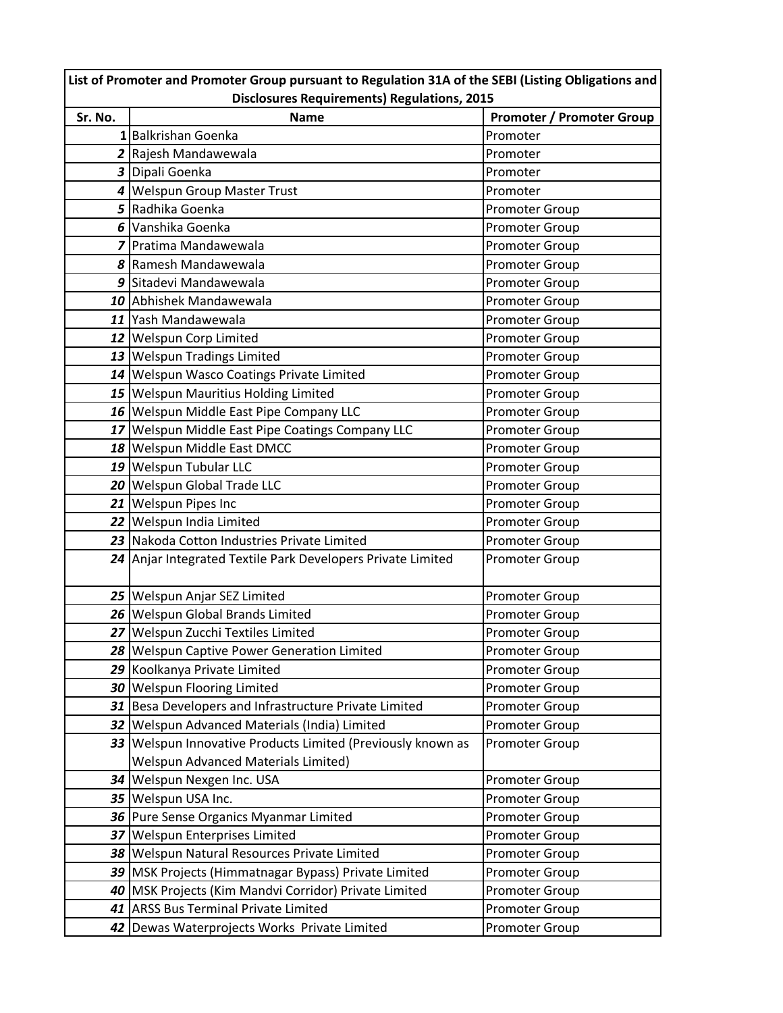| List of Promoter and Promoter Group pursuant to Regulation 31A of the SEBI (Listing Obligations and |                                                             |                                  |  |  |  |  |  |  |  |
|-----------------------------------------------------------------------------------------------------|-------------------------------------------------------------|----------------------------------|--|--|--|--|--|--|--|
|                                                                                                     | <b>Disclosures Requirements) Regulations, 2015</b>          |                                  |  |  |  |  |  |  |  |
| Sr. No.                                                                                             | <b>Name</b>                                                 | <b>Promoter / Promoter Group</b> |  |  |  |  |  |  |  |
|                                                                                                     | 1 Balkrishan Goenka                                         | Promoter                         |  |  |  |  |  |  |  |
|                                                                                                     | 2 Rajesh Mandawewala                                        | Promoter                         |  |  |  |  |  |  |  |
|                                                                                                     | 3 Dipali Goenka                                             | Promoter                         |  |  |  |  |  |  |  |
|                                                                                                     | 4 Welspun Group Master Trust                                | Promoter                         |  |  |  |  |  |  |  |
|                                                                                                     | 5 Radhika Goenka                                            | Promoter Group                   |  |  |  |  |  |  |  |
|                                                                                                     | 6 Vanshika Goenka                                           | Promoter Group                   |  |  |  |  |  |  |  |
|                                                                                                     | <b>7</b> Pratima Mandawewala                                | Promoter Group                   |  |  |  |  |  |  |  |
|                                                                                                     | 8 Ramesh Mandawewala                                        | Promoter Group                   |  |  |  |  |  |  |  |
|                                                                                                     | 9 Sitadevi Mandawewala                                      | Promoter Group                   |  |  |  |  |  |  |  |
|                                                                                                     | 10 Abhishek Mandawewala                                     | Promoter Group                   |  |  |  |  |  |  |  |
|                                                                                                     | 11 Yash Mandawewala                                         | Promoter Group                   |  |  |  |  |  |  |  |
|                                                                                                     | 12 Welspun Corp Limited                                     | Promoter Group                   |  |  |  |  |  |  |  |
|                                                                                                     | 13 Welspun Tradings Limited                                 | Promoter Group                   |  |  |  |  |  |  |  |
|                                                                                                     | 14 Welspun Wasco Coatings Private Limited                   | Promoter Group                   |  |  |  |  |  |  |  |
|                                                                                                     | 15 Welspun Mauritius Holding Limited                        | Promoter Group                   |  |  |  |  |  |  |  |
|                                                                                                     | 16 Welspun Middle East Pipe Company LLC                     | Promoter Group                   |  |  |  |  |  |  |  |
|                                                                                                     | 17 Welspun Middle East Pipe Coatings Company LLC            | Promoter Group                   |  |  |  |  |  |  |  |
|                                                                                                     | 18 Welspun Middle East DMCC                                 | Promoter Group                   |  |  |  |  |  |  |  |
|                                                                                                     | 19 Welspun Tubular LLC                                      | Promoter Group                   |  |  |  |  |  |  |  |
|                                                                                                     | 20 Welspun Global Trade LLC                                 | Promoter Group                   |  |  |  |  |  |  |  |
|                                                                                                     | 21 Welspun Pipes Inc                                        | Promoter Group                   |  |  |  |  |  |  |  |
|                                                                                                     | 22 Welspun India Limited                                    | Promoter Group                   |  |  |  |  |  |  |  |
|                                                                                                     | 23 Nakoda Cotton Industries Private Limited                 | Promoter Group                   |  |  |  |  |  |  |  |
|                                                                                                     | 24 Anjar Integrated Textile Park Developers Private Limited | Promoter Group                   |  |  |  |  |  |  |  |
|                                                                                                     |                                                             |                                  |  |  |  |  |  |  |  |
|                                                                                                     | 25 Welspun Anjar SEZ Limited                                | Promoter Group                   |  |  |  |  |  |  |  |
|                                                                                                     | 26 Welspun Global Brands Limited                            | Promoter Group                   |  |  |  |  |  |  |  |
|                                                                                                     | 27 Welspun Zucchi Textiles Limited                          | <b>Promoter Group</b>            |  |  |  |  |  |  |  |
|                                                                                                     | 28 Welspun Captive Power Generation Limited                 | Promoter Group                   |  |  |  |  |  |  |  |
|                                                                                                     | 29 Koolkanya Private Limited                                | Promoter Group                   |  |  |  |  |  |  |  |
|                                                                                                     | 30 Welspun Flooring Limited                                 | Promoter Group                   |  |  |  |  |  |  |  |
|                                                                                                     | 31 Besa Developers and Infrastructure Private Limited       | Promoter Group                   |  |  |  |  |  |  |  |
|                                                                                                     | 32 Welspun Advanced Materials (India) Limited               | Promoter Group                   |  |  |  |  |  |  |  |
| 33                                                                                                  | Welspun Innovative Products Limited (Previously known as    | <b>Promoter Group</b>            |  |  |  |  |  |  |  |
|                                                                                                     | <b>Welspun Advanced Materials Limited)</b>                  |                                  |  |  |  |  |  |  |  |
| 34                                                                                                  | Welspun Nexgen Inc. USA                                     | <b>Promoter Group</b>            |  |  |  |  |  |  |  |
|                                                                                                     | 35 Welspun USA Inc.                                         | Promoter Group                   |  |  |  |  |  |  |  |
|                                                                                                     | 36 Pure Sense Organics Myanmar Limited                      | Promoter Group                   |  |  |  |  |  |  |  |
| 37                                                                                                  | Welspun Enterprises Limited                                 | Promoter Group                   |  |  |  |  |  |  |  |
| 38                                                                                                  | Welspun Natural Resources Private Limited                   | Promoter Group                   |  |  |  |  |  |  |  |
|                                                                                                     | 39   MSK Projects (Himmatnagar Bypass) Private Limited      | Promoter Group                   |  |  |  |  |  |  |  |
|                                                                                                     | 40   MSK Projects (Kim Mandvi Corridor) Private Limited     | Promoter Group                   |  |  |  |  |  |  |  |
| 41                                                                                                  | <b>ARSS Bus Terminal Private Limited</b>                    | Promoter Group                   |  |  |  |  |  |  |  |
|                                                                                                     | 42 Dewas Waterprojects Works Private Limited                | Promoter Group                   |  |  |  |  |  |  |  |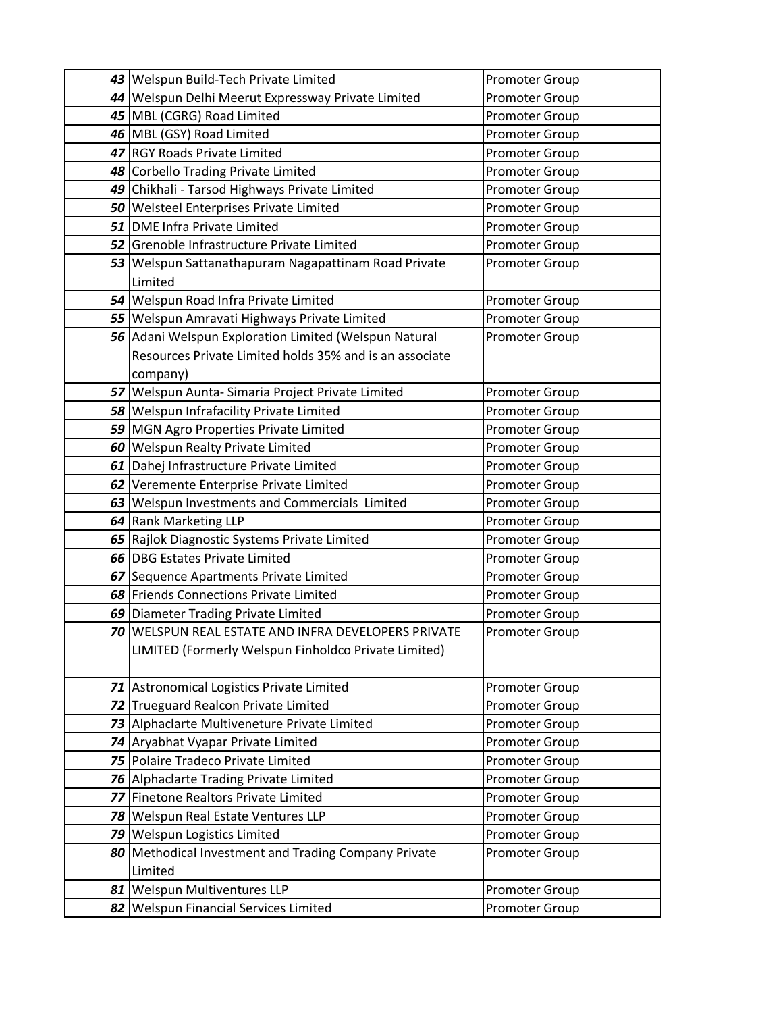| 43 Welspun Build-Tech Private Limited                   | Promoter Group        |
|---------------------------------------------------------|-----------------------|
| 44 Welspun Delhi Meerut Expressway Private Limited      | Promoter Group        |
| 45   MBL (CGRG) Road Limited                            | Promoter Group        |
| 46 MBL (GSY) Road Limited                               | Promoter Group        |
| 47 RGY Roads Private Limited                            | Promoter Group        |
| 48 Corbello Trading Private Limited                     | Promoter Group        |
| 49 Chikhali - Tarsod Highways Private Limited           | Promoter Group        |
| 50 Welsteel Enterprises Private Limited                 | <b>Promoter Group</b> |
| 51 DME Infra Private Limited                            | Promoter Group        |
| 52 Grenoble Infrastructure Private Limited              | Promoter Group        |
| 53 Welspun Sattanathapuram Nagapattinam Road Private    | <b>Promoter Group</b> |
| Limited                                                 |                       |
| 54 Welspun Road Infra Private Limited                   | Promoter Group        |
| 55 Welspun Amravati Highways Private Limited            | Promoter Group        |
| 56 Adani Welspun Exploration Limited (Welspun Natural   | <b>Promoter Group</b> |
| Resources Private Limited holds 35% and is an associate |                       |
| company)                                                |                       |
| 57 Welspun Aunta-Simaria Project Private Limited        | <b>Promoter Group</b> |
| 58 Welspun Infrafacility Private Limited                | Promoter Group        |
| 59 MGN Agro Properties Private Limited                  | Promoter Group        |
| 60 Welspun Realty Private Limited                       | Promoter Group        |
| 61 Dahej Infrastructure Private Limited                 | Promoter Group        |
| 62 Veremente Enterprise Private Limited                 | Promoter Group        |
| 63 Welspun Investments and Commercials Limited          | Promoter Group        |
| 64 Rank Marketing LLP                                   | Promoter Group        |
| 65 Rajlok Diagnostic Systems Private Limited            | Promoter Group        |
| 66 DBG Estates Private Limited                          | Promoter Group        |
| 67 Sequence Apartments Private Limited                  | Promoter Group        |
| 68 Friends Connections Private Limited                  | Promoter Group        |
| 69 Diameter Trading Private Limited                     | Promoter Group        |
| 70 WELSPUN REAL ESTATE AND INFRA DEVELOPERS PRIVATE     | Promoter Group        |
| LIMITED (Formerly Welspun Finholdco Private Limited)    |                       |
|                                                         |                       |
| 71 Astronomical Logistics Private Limited               | Promoter Group        |
| 72 Trueguard Realcon Private Limited                    | Promoter Group        |
| 73 Alphaclarte Multiveneture Private Limited            | Promoter Group        |
| 74 Aryabhat Vyapar Private Limited                      | Promoter Group        |
| 75 Polaire Tradeco Private Limited                      | Promoter Group        |
| 76 Alphaclarte Trading Private Limited                  | Promoter Group        |
| 77 Finetone Realtors Private Limited                    | Promoter Group        |
| 78   Welspun Real Estate Ventures LLP                   | Promoter Group        |
| 79 Welspun Logistics Limited                            | Promoter Group        |
| 80 Methodical Investment and Trading Company Private    | <b>Promoter Group</b> |
| Limited                                                 |                       |
| 81 Welspun Multiventures LLP                            | Promoter Group        |
| 82 Welspun Financial Services Limited                   | Promoter Group        |